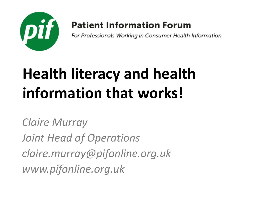

### **Patient Information Forum**

For Professionals Working in Consumer Health Information

# **Health literacy and health information that works!**

*Claire Murray Joint Head of Operations claire.murray@pifonline.org.uk www.pifonline.org.uk*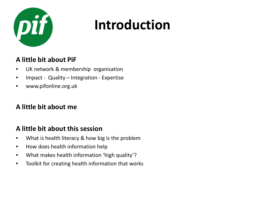

### **Introduction**

### **A little bit about PiF**

- UK network & membership organisation
- Impact Quality Integration Expertise
- www.pifonline.org.uk

### **A little bit about me**

### **A little bit about this session**

- What is health literacy & how big is the problem
- How does health information help
- What makes health information 'high quality'?
- Toolkit for creating health information that works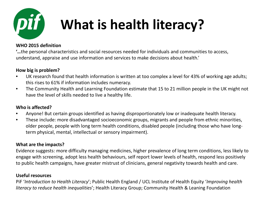

## **What is health literacy?**

#### **WHO 2015 definition**

**'…**the personal characteristics and social resources needed for individuals and communities to access, understand, appraise and use information and services to make decisions about health.'

#### **How big is problem?**

- UK research found that health information is written at too complex a level for 43% of working age adults; this rises to 61% if information includes numeracy.
- The Community Health and Learning Foundation estimate that 15 to 21 million people in the UK might not have the level of skills needed to live a healthy life.

#### **Who is affected?**

- Anyone! But certain groups identified as having disproportionately low or inadequate health literacy.
- These include: more disadvantaged socioeconomic groups, migrants and people from ethnic minorities, older people, people with long term health conditions, disabled people (including those who have longterm physical, mental, intellectual or sensory impairment).

#### **What are the impacts?**

Evidence suggests: more difficulty managing medicines, higher prevalence of long term conditions, less likely to engage with screening, adopt less health behaviours, self report lower levels of health, respond less positively to public health campaigns, have greater mistrust of clinicians, general negativity towards health and care.

#### **Useful resources**

PiF '*Introduction to Health Literacy*'; Public Health England / UCL Institute of Health Equity '*Improving health literacy to reduce health inequalities*'; Health Literacy Group; Community Health & Leaning Foundation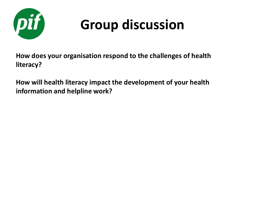

## **Group discussion**

**How does your organisation respond to the challenges of health literacy?**

**How will health literacy impact the development of your health information and helpline work?**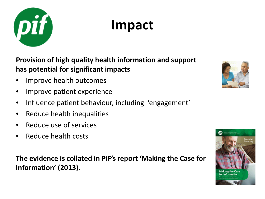

### **Impact**

**Provision of high quality health information and support has potential for significant impacts** 

- Improve health outcomes
- Improve patient experience
- Influence patient behaviour, including 'engagement'
- Reduce health inequalities
- Reduce use of services
- Reduce health costs

**The evidence is collated in PiF's report 'Making the Case for Information' (2013).**



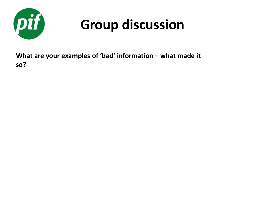

## **Group discussion**

**What are your examples of 'bad' information – what made it so?**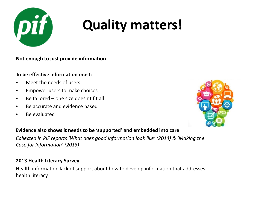

### **Quality matters!**

**Not enough to just provide information**

#### **To be effective information must:**

- Meet the needs of users
- Empower users to make choices
- Be tailored one size doesn't fit all
- Be accurate and evidence based
- Be evaluated



#### **Evidence also shows it needs to be 'supported' and embedded into care**

*Collected in PiF reports 'What does good information look like' (2014) & 'Making the Case for Information' (2013)*

#### **2013 Health Literacy Survey**

Health information lack of support about how to develop information that addresses health literacy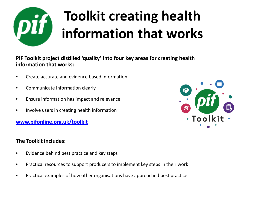

## **Toolkit creating health information that works**

**PiF Toolkit project distilled 'quality' into four key areas for creating health information that works:** 

- Create accurate and evidence based information
- Communicate information clearly
- Ensure information has impact and relevance
- Involve users in creating health information

**[www.pifonline.org.uk/toolkit](http://www.pifonline.org.uk/toolkit)**

#### **The Toolkit includes:**

- Evidence behind best practice and key steps
- Practical resources to support producers to implement key steps in their work
- Practical examples of how other organisations have approached best practice

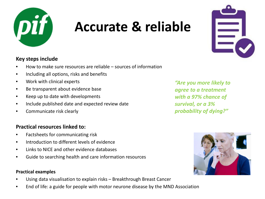

### **Accurate & reliable**



### **Key steps include**

- How to make sure resources are reliable sources of information
- Including all options, risks and benefits
- Work with clinical experts
- Be transparent about evidence base
- Keep up to date with developments
- Include published date and expected review date
- Communicate risk clearly

#### **Practical resources linked to:**

- Factsheets for communicating risk
- Introduction to different levels of evidence
- Links to NICE and other evidence databases
- Guide to searching health and care information resources

#### **Practical examples**

- Using data visualisation to explain risks Breakthrough Breast Cancer
- End of life: a guide for people with motor neurone disease by the MND Association

*"Are you more likely to agree to a treatment with a 97% chance of survival, or a 3% probability of dying?"* 

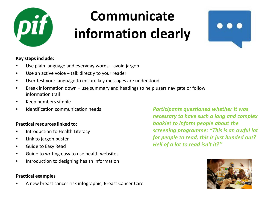

### **Communicate information clearly**



#### **Key steps include:**

- Use plain language and everyday words avoid jargon
- Use an active voice talk directly to your reader
- User test your language to ensure key messages are understood
- Break information down use summary and headings to help users navigate or follow information trail
- Keep numbers simple
- Identification communication needs

#### **Practical resources linked to:**

- Introduction to Health Literacy
- Link to jargon buster
- Guide to Easy Read
- Guide to writing easy to use health websites
- Introduction to designing health information

#### **Practical examples**

• A new breast cancer risk infographic, Breast Cancer Care

*Participants questioned whether it was necessary to have such a long and complex booklet to inform people about the screening programme: "This is an awful lot for people to read, this is just handed out? Hell of a lot to read isn't it?''*

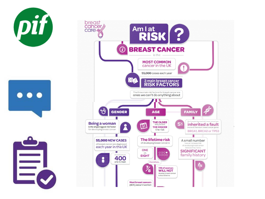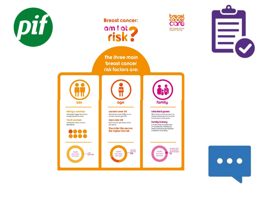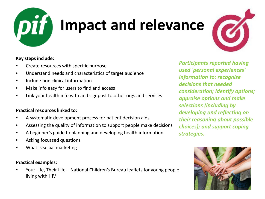

# **Impact and relevance**



#### **Key steps include:**

- Create resources with specific purpose
- Understand needs and characteristics of target audience
- Include non clinical information
- Make info easy for users to find and access
- Link your health info with and signpost to other orgs and services

#### **Practical resources linked to:**

- A systematic development process for patient decision aids
- Assessing the quality of information to support people make decisions
- A beginner's guide to planning and developing health information
- Asking focussed questions
- What is social marketing

#### **Practical examples:**

• Your Life, Their Life – National Children's Bureau leaflets for young people living with HIV

*Participants reported having used 'personal experiences' information to: recognise decisions that needed consideration; identify options; appraise options and make selections (including by developing and reflecting on their reasoning about possible choices); and support coping strategies.* 

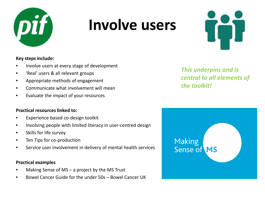

### **Involve users**



#### **Key steps include:**

- Involve users at every stage of development
- 'Real' users & all relevant groups
- Appropriate methods of engagement
- Communicate what involvement will mean
- Evaluate the impact of your resources

#### **Practical resources linked to:**

- Experience based co-design toolkit
- Involving people with limited literacy in user-centred design
- Skills for life survey
- Ten Tips for co-production
- Service user involvement in delivery of mental health services

#### **Practical examples**

- Making Sense of  $MS a$  project by the MS Trust
- Bowel Cancer Guide for the under 50s Bowel Cancer UK

*This underpins and is central to all elements of the toolkit!*

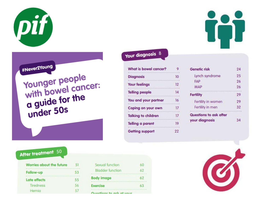#Never2Young

After treatment 50

.................................... Follow-up

Late effects

Hernig

Tiredness

Worries about the future

Younger people<br>with bowel cancer: a guide for the<br>under 50s

51

53

55

56

57

#### What is bowel cancer? 9 . . . . . . . **Diagnosis**  $10<sup>°</sup>$ with a community community and a community of the community of the community of the community of the community of the community of the community of the community of the community of the community of the community of the co **Your feelings**  $12$ **Telling people**  $14$  $.........$ You and your partner 16 Coping on your own  $17$ ...... **Talking to children**  $17$ . . . . . . . **Telling a parent** 19 . . . . . . . **Getting support**  $22$

| <b>Genetic risk</b>                      | 24 |
|------------------------------------------|----|
| Lynch syndrome                           | 25 |
| FAP                                      | 26 |
| <b>MAP</b>                               | 26 |
| <b>Fertility</b>                         | 29 |
| Fertility in women                       | 29 |
| Fertility in men                         | 32 |
| <b></b><br><b>Questions to ask after</b> |    |
| your diagnosis                           |    |

Your diagnosis 8

| Sexual function                                                                             | 60 |
|---------------------------------------------------------------------------------------------|----|
| <b>Bladder function</b>                                                                     | 62 |
| <b><i>DEREST PRODUCTS IN THE</i></b><br><b>Body image</b><br>****************************** |    |
| <b>Exercise</b>                                                                             |    |